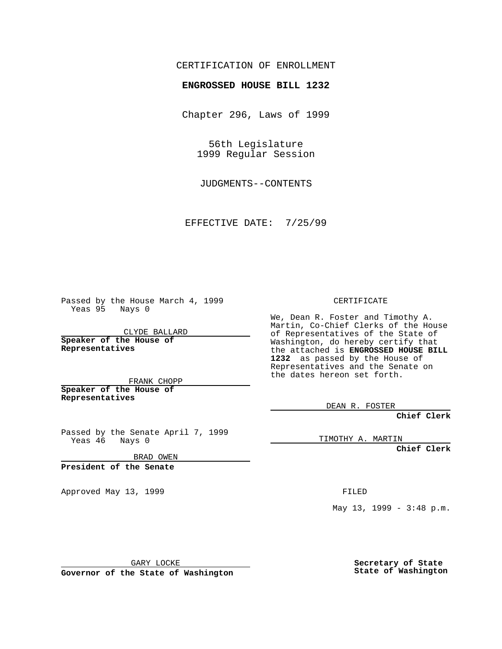## CERTIFICATION OF ENROLLMENT

## **ENGROSSED HOUSE BILL 1232**

Chapter 296, Laws of 1999

56th Legislature 1999 Regular Session

JUDGMENTS--CONTENTS

EFFECTIVE DATE: 7/25/99

Passed by the House March 4, 1999 Yeas 95 Nays 0

CLYDE BALLARD **Speaker of the House of Representatives**

FRANK CHOPP **Speaker of the House of**

**Representatives**

Passed by the Senate April 7, 1999<br>Yeas 46 Nays 0 Nays 0

BRAD OWEN

**President of the Senate**

Approved May 13, 1999 **FILED** 

CERTIFICATE

We, Dean R. Foster and Timothy A. Martin, Co-Chief Clerks of the House of Representatives of the State of Washington, do hereby certify that the attached is **ENGROSSED HOUSE BILL 1232** as passed by the House of Representatives and the Senate on the dates hereon set forth.

DEAN R. FOSTER

**Chief Clerk**

TIMOTHY A. MARTIN

**Chief Clerk**

May 13, 1999 - 3:48 p.m.

GARY LOCKE

**Governor of the State of Washington**

**Secretary of State State of Washington**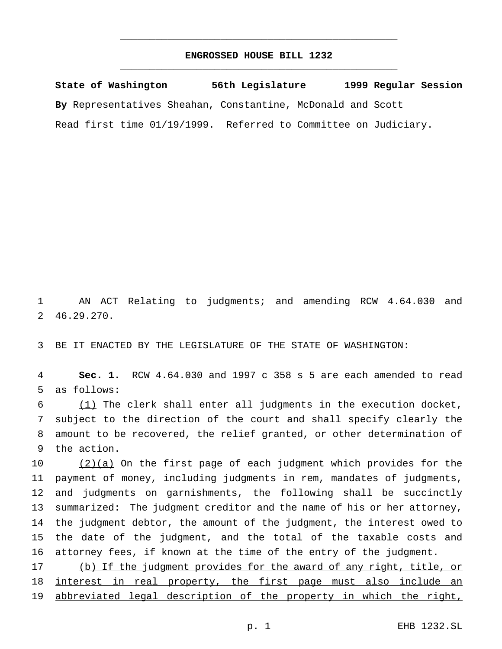## **ENGROSSED HOUSE BILL 1232** \_\_\_\_\_\_\_\_\_\_\_\_\_\_\_\_\_\_\_\_\_\_\_\_\_\_\_\_\_\_\_\_\_\_\_\_\_\_\_\_\_\_\_\_\_\_\_

\_\_\_\_\_\_\_\_\_\_\_\_\_\_\_\_\_\_\_\_\_\_\_\_\_\_\_\_\_\_\_\_\_\_\_\_\_\_\_\_\_\_\_\_\_\_\_

**State of Washington 56th Legislature 1999 Regular Session By** Representatives Sheahan, Constantine, McDonald and Scott Read first time 01/19/1999. Referred to Committee on Judiciary.

 AN ACT Relating to judgments; and amending RCW 4.64.030 and 46.29.270.

BE IT ENACTED BY THE LEGISLATURE OF THE STATE OF WASHINGTON:

 **Sec. 1.** RCW 4.64.030 and 1997 c 358 s 5 are each amended to read as follows:

 (1) The clerk shall enter all judgments in the execution docket, subject to the direction of the court and shall specify clearly the amount to be recovered, the relief granted, or other determination of the action.

 $(2)(a)$  On the first page of each judgment which provides for the payment of money, including judgments in rem, mandates of judgments, and judgments on garnishments, the following shall be succinctly summarized: The judgment creditor and the name of his or her attorney, the judgment debtor, the amount of the judgment, the interest owed to the date of the judgment, and the total of the taxable costs and attorney fees, if known at the time of the entry of the judgment.

 (b) If the judgment provides for the award of any right, title, or 18 interest in real property, the first page must also include an 19 abbreviated legal description of the property in which the right,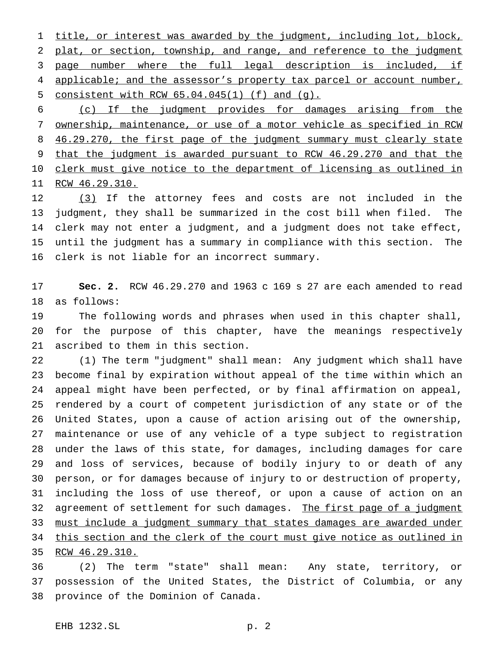title, or interest was awarded by the judgment, including lot, block, plat, or section, township, and range, and reference to the judgment 3 page number where the full legal description is included, if 4 applicable; and the assessor's property tax parcel or account number, consistent with RCW 65.04.045(1) (f) and (g).

 (c) If the judgment provides for damages arising from the ownership, maintenance, or use of a motor vehicle as specified in RCW 8 46.29.270, the first page of the judgment summary must clearly state that the judgment is awarded pursuant to RCW 46.29.270 and that the 10 clerk must give notice to the department of licensing as outlined in RCW 46.29.310.

12 (3) If the attorney fees and costs are not included in the judgment, they shall be summarized in the cost bill when filed. The clerk may not enter a judgment, and a judgment does not take effect, until the judgment has a summary in compliance with this section. The clerk is not liable for an incorrect summary.

 **Sec. 2.** RCW 46.29.270 and 1963 c 169 s 27 are each amended to read as follows:

 The following words and phrases when used in this chapter shall, for the purpose of this chapter, have the meanings respectively ascribed to them in this section.

 (1) The term "judgment" shall mean: Any judgment which shall have become final by expiration without appeal of the time within which an appeal might have been perfected, or by final affirmation on appeal, rendered by a court of competent jurisdiction of any state or of the United States, upon a cause of action arising out of the ownership, maintenance or use of any vehicle of a type subject to registration under the laws of this state, for damages, including damages for care and loss of services, because of bodily injury to or death of any person, or for damages because of injury to or destruction of property, including the loss of use thereof, or upon a cause of action on an 32 agreement of settlement for such damages. The first page of a judgment 33 must include a judgment summary that states damages are awarded under this section and the clerk of the court must give notice as outlined in

RCW 46.29.310.

 (2) The term "state" shall mean: Any state, territory, or possession of the United States, the District of Columbia, or any province of the Dominion of Canada.